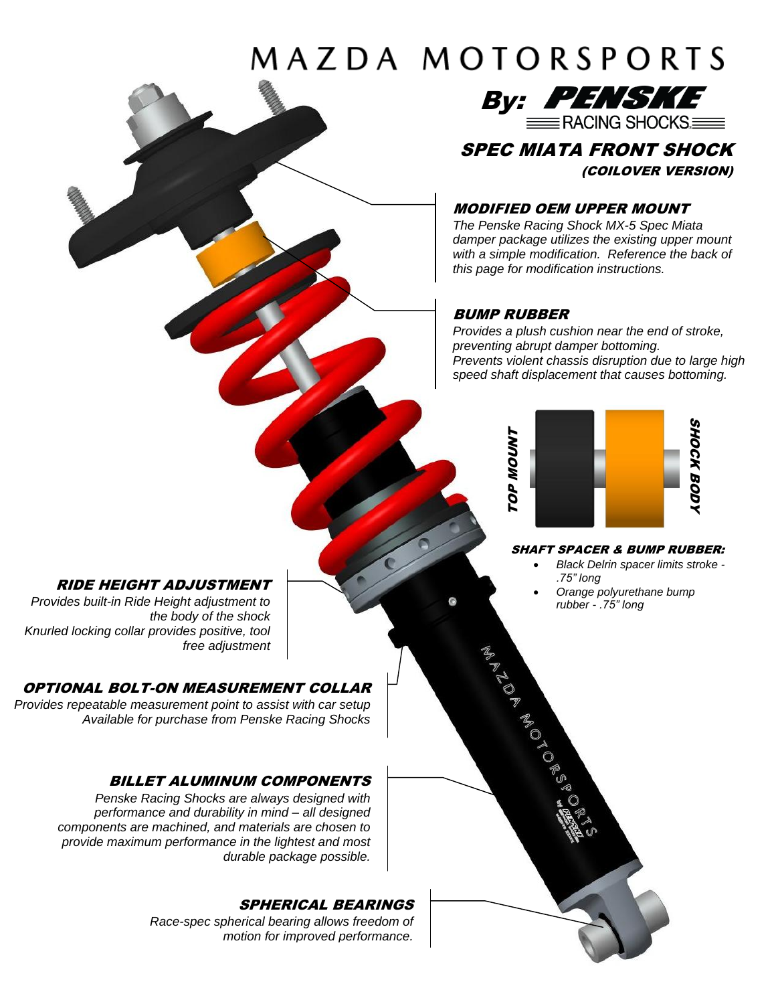# MAZDA MOTORSPORTS



# SPEC MIATA FRONT SHOCK (COILOVER VERSION)

### MODIFIED OEM UPPER MOUNT

*The Penske Racing Shock MX-5 Spec Miata damper package utilizes the existing upper mount with a simple modification. Reference the back of this page for modification instructions.*

### BUMP RUBBER

ADD ADD ADD ADD ADD

*Provides a plush cushion near the end of stroke, preventing abrupt damper bottoming. Prevents violent chassis disruption due to large high speed shaft displacement that causes bottoming.*



#### SHAFT SPACER & BUMP RUBBER:

- *Black Delrin spacer limits stroke - .75" long*
- *Orange polyurethane bump rubber - .75" long*

### RIDE HEIGHT ADJUSTMENT

*Provides built-in Ride Height adjustment to the body of the shock Knurled locking collar provides positive, tool free adjustment* 

### OPTIONAL BOLT-ON MEASUREMENT COLLAR

*Provides repeatable measurement point to assist with car setup Available for purchase from Penske Racing Shocks* 

### BILLET ALUMINUM COMPONENTS

*Penske Racing Shocks are always designed with performance and durability in mind – all designed components are machined, and materials are chosen to provide maximum performance in the lightest and most durable package possible.*

### SPHERICAL BEARINGS

*Race-spec spherical bearing allows freedom of motion for improved performance.*